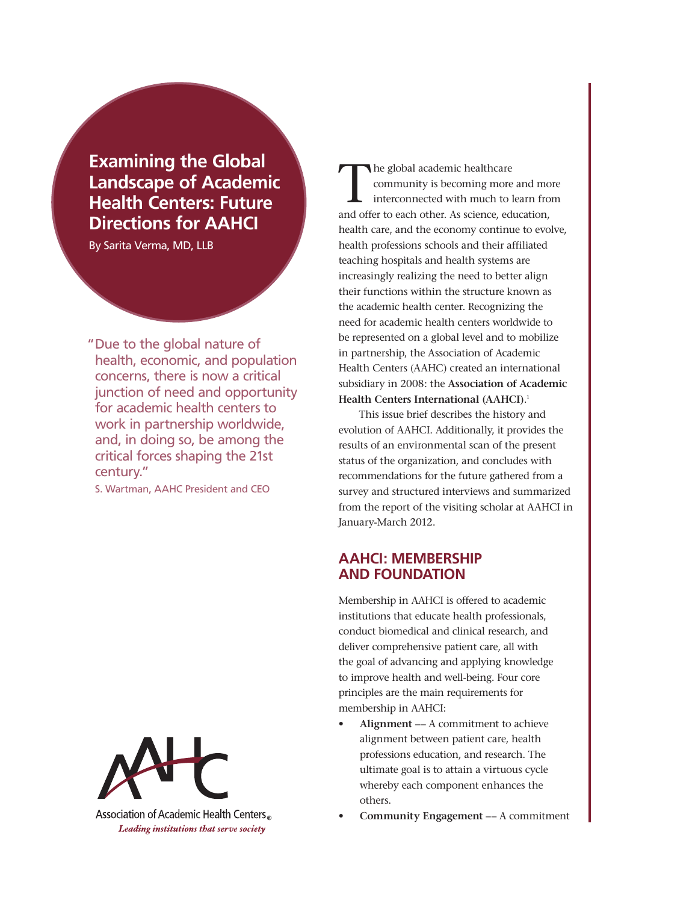**Examining the Global Landscape of Academic Health Centers: Future Directions for AAHCI**

By Sarita Verma, MD, LLB

"Due to the global nature of health, economic, and population concerns, there is now a critical junction of need and opportunity for academic health centers to work in partnership worldwide, and, in doing so, be among the critical forces shaping the 21st century."

S. Wartman, AAHC President and CEO



Association of Academic Health Centers Leading institutions that serve society

The global academic healthcare community is becoming more and more interconnected with much to learn from and offer to each other. As science, education, health care, and the economy continue to evolve, health professions schools and their affiliated teaching hospitals and health systems are increasingly realizing the need to better align their functions within the structure known as the academic health center. Recognizing the need for academic health centers worldwide to be represented on a global level and to mobilize in partnership, the Association of Academic Health Centers (AAHC) created an international subsidiary in 2008: the **Association of Academic Health Centers International (AAHCI)**. 1

This issue brief describes the history and evolution of AAHCI. Additionally, it provides the results of an environmental scan of the present status of the organization, and concludes with recommendations for the future gathered from a survey and structured interviews and summarized from the report of the visiting scholar at AAHCI in January-March 2012.

## **AAHCI: Membership and Foundation**

Membership in AAHCI is offered to academic institutions that educate health professionals, conduct biomedical and clinical research, and deliver comprehensive patient care, all with the goal of advancing and applying knowledge to improve health and well-being. Four core principles are the main requirements for membership in AAHCI:

- Alignment -- A commitment to achieve alignment between patient care, health professions education, and research. The ultimate goal is to attain a virtuous cycle whereby each component enhances the others.
- **Community Engagement** –– A commitment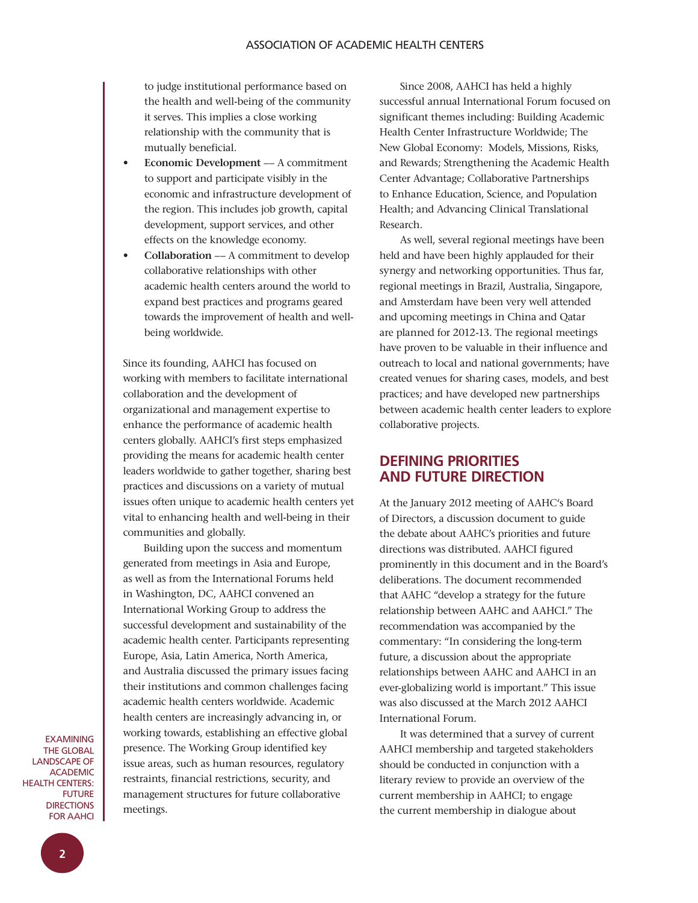to judge institutional performance based on the health and well-being of the community it serves. This implies a close working relationship with the community that is mutually beneficial.

- **Economic Development -- A commitment** to support and participate visibly in the economic and infrastructure development of the region. This includes job growth, capital development, support services, and other effects on the knowledge economy.
- **Collaboration** –– A commitment to develop collaborative relationships with other academic health centers around the world to expand best practices and programs geared towards the improvement of health and wellbeing worldwide.

Since its founding, AAHCI has focused on working with members to facilitate international collaboration and the development of organizational and management expertise to enhance the performance of academic health centers globally. AAHCI's first steps emphasized providing the means for academic health center leaders worldwide to gather together, sharing best practices and discussions on a variety of mutual issues often unique to academic health centers yet vital to enhancing health and well-being in their communities and globally.

Building upon the success and momentum generated from meetings in Asia and Europe, as well as from the International Forums held in Washington, DC, AAHCI convened an International Working Group to address the successful development and sustainability of the academic health center. Participants representing Europe, Asia, Latin America, North America, and Australia discussed the primary issues facing their institutions and common challenges facing academic health centers worldwide. Academic health centers are increasingly advancing in, or working towards, establishing an effective global presence. The Working Group identified key issue areas, such as human resources, regulatory restraints, financial restrictions, security, and management structures for future collaborative meetings.

Since 2008, AAHCI has held a highly successful annual International Forum focused on significant themes including: Building Academic Health Center Infrastructure Worldwide; The New Global Economy: Models, Missions, Risks, and Rewards; Strengthening the Academic Health Center Advantage; Collaborative Partnerships to Enhance Education, Science, and Population Health; and Advancing Clinical Translational Research.

As well, several regional meetings have been held and have been highly applauded for their synergy and networking opportunities. Thus far, regional meetings in Brazil, Australia, Singapore, and Amsterdam have been very well attended and upcoming meetings in China and Qatar are planned for 2012-13. The regional meetings have proven to be valuable in their influence and outreach to local and national governments; have created venues for sharing cases, models, and best practices; and have developed new partnerships between academic health center leaders to explore collaborative projects.

# **Defining Priorities and Future Direction**

At the January 2012 meeting of AAHC's Board of Directors, a discussion document to guide the debate about AAHC's priorities and future directions was distributed. AAHCI figured prominently in this document and in the Board's deliberations. The document recommended that AAHC "develop a strategy for the future relationship between AAHC and AAHCI." The recommendation was accompanied by the commentary: "In considering the long-term future, a discussion about the appropriate relationships between AAHC and AAHCI in an ever-globalizing world is important." This issue was also discussed at the March 2012 AAHCI International Forum.

It was determined that a survey of current AAHCI membership and targeted stakeholders should be conducted in conjunction with a literary review to provide an overview of the current membership in AAHCI; to engage the current membership in dialogue about

**EXAMINING** the Global Landscape of **ACADEMIC** Health Centers: **FUTURE DIRECTIONS** for AAHCI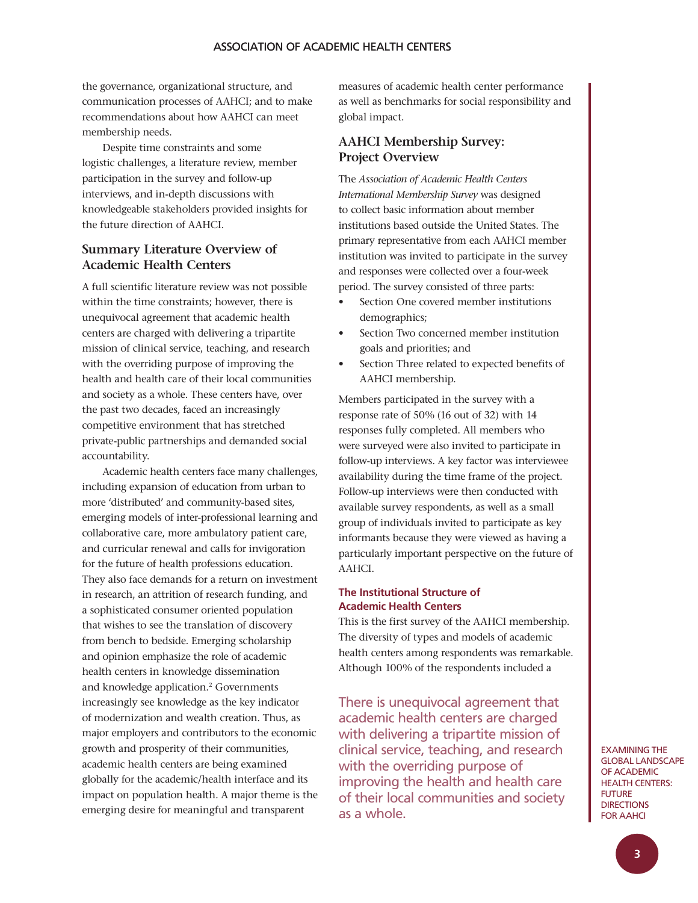the governance, organizational structure, and communication processes of AAHCI; and to make recommendations about how AAHCI can meet membership needs.

Despite time constraints and some logistic challenges, a literature review, member participation in the survey and follow-up interviews, and in-depth discussions with knowledgeable stakeholders provided insights for the future direction of AAHCI.

## **Summary Literature Overview of Academic Health Centers**

A full scientific literature review was not possible within the time constraints; however, there is unequivocal agreement that academic health centers are charged with delivering a tripartite mission of clinical service, teaching, and research with the overriding purpose of improving the health and health care of their local communities and society as a whole. These centers have, over the past two decades, faced an increasingly competitive environment that has stretched private-public partnerships and demanded social accountability.

Academic health centers face many challenges, including expansion of education from urban to more 'distributed' and community-based sites, emerging models of inter-professional learning and collaborative care, more ambulatory patient care, and curricular renewal and calls for invigoration for the future of health professions education. They also face demands for a return on investment in research, an attrition of research funding, and a sophisticated consumer oriented population that wishes to see the translation of discovery from bench to bedside. Emerging scholarship and opinion emphasize the role of academic health centers in knowledge dissemination and knowledge application.<sup>2</sup> Governments increasingly see knowledge as the key indicator of modernization and wealth creation. Thus, as major employers and contributors to the economic growth and prosperity of their communities, academic health centers are being examined globally for the academic/health interface and its impact on population health. A major theme is the emerging desire for meaningful and transparent

measures of academic health center performance as well as benchmarks for social responsibility and global impact.

## **AAHCI Membership Survey: Project Overview**

The *Association of Academic Health Centers International Membership Survey* was designed to collect basic information about member institutions based outside the United States. The primary representative from each AAHCI member institution was invited to participate in the survey and responses were collected over a four-week period. The survey consisted of three parts:

- Section One covered member institutions demographics;
- Section Two concerned member institution goals and priorities; and
- Section Three related to expected benefits of AAHCI membership.

Members participated in the survey with a response rate of 50% (16 out of 32) with 14 responses fully completed. All members who were surveyed were also invited to participate in follow-up interviews. A key factor was interviewee availability during the time frame of the project. Follow-up interviews were then conducted with available survey respondents, as well as a small group of individuals invited to participate as key informants because they were viewed as having a particularly important perspective on the future of AAHCI.

#### **The Institutional Structure of Academic Health Centers**

This is the first survey of the AAHCI membership. The diversity of types and models of academic health centers among respondents was remarkable. Although 100% of the respondents included a

There is unequivocal agreement that academic health centers are charged with delivering a tripartite mission of clinical service, teaching, and research with the overriding purpose of improving the health and health care of their local communities and society as a whole.

Examining the Global Landscape of Academic **HEALTH CENTERS: FUTURE DIRECTIONS** for AAHCI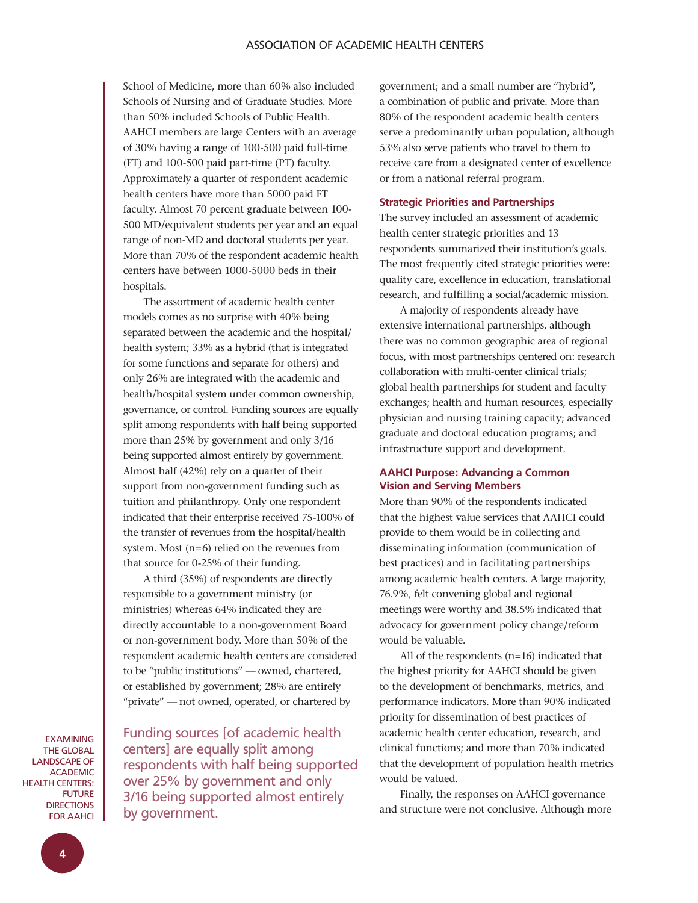School of Medicine, more than 60% also included Schools of Nursing and of Graduate Studies. More than 50% included Schools of Public Health. AAHCI members are large Centers with an average of 30% having a range of 100-500 paid full-time (FT) and 100-500 paid part-time (PT) faculty. Approximately a quarter of respondent academic health centers have more than 5000 paid FT faculty. Almost 70 percent graduate between 100- 500 MD/equivalent students per year and an equal range of non-MD and doctoral students per year. More than 70% of the respondent academic health centers have between 1000-5000 beds in their hospitals.

The assortment of academic health center models comes as no surprise with 40% being separated between the academic and the hospital/ health system; 33% as a hybrid (that is integrated for some functions and separate for others) and only 26% are integrated with the academic and health/hospital system under common ownership, governance, or control. Funding sources are equally split among respondents with half being supported more than 25% by government and only 3/16 being supported almost entirely by government. Almost half (42%) rely on a quarter of their support from non-government funding such as tuition and philanthropy. Only one respondent indicated that their enterprise received 75-100% of the transfer of revenues from the hospital/health system. Most (n=6) relied on the revenues from that source for 0-25% of their funding.

A third (35%) of respondents are directly responsible to a government ministry (or ministries) whereas 64% indicated they are directly accountable to a non-government Board or non-government body. More than 50% of the respondent academic health centers are considered to be "public institutions" –– owned, chartered, or established by government; 28% are entirely "private" –– not owned, operated, or chartered by

**EXAMINING** the Global Landscape of **ACADEMIC** Health Centers: **FUTURE DIRECTIONS** for AAHCI

Funding sources [of academic health centers] are equally split among respondents with half being supported over 25% by government and only 3/16 being supported almost entirely by government.

government; and a small number are "hybrid", a combination of public and private. More than 80% of the respondent academic health centers serve a predominantly urban population, although 53% also serve patients who travel to them to receive care from a designated center of excellence or from a national referral program.

### **Strategic Priorities and Partnerships**

The survey included an assessment of academic health center strategic priorities and 13 respondents summarized their institution's goals. The most frequently cited strategic priorities were: quality care, excellence in education, translational research, and fulfilling a social/academic mission.

A majority of respondents already have extensive international partnerships, although there was no common geographic area of regional focus, with most partnerships centered on: research collaboration with multi-center clinical trials; global health partnerships for student and faculty exchanges; health and human resources, especially physician and nursing training capacity; advanced graduate and doctoral education programs; and infrastructure support and development.

### **AAHCI Purpose: Advancing a Common Vision and Serving Members**

More than 90% of the respondents indicated that the highest value services that AAHCI could provide to them would be in collecting and disseminating information (communication of best practices) and in facilitating partnerships among academic health centers. A large majority, 76.9%, felt convening global and regional meetings were worthy and 38.5% indicated that advocacy for government policy change/reform would be valuable.

All of the respondents (n=16) indicated that the highest priority for AAHCI should be given to the development of benchmarks, metrics, and performance indicators. More than 90% indicated priority for dissemination of best practices of academic health center education, research, and clinical functions; and more than 70% indicated that the development of population health metrics would be valued.

Finally, the responses on AAHCI governance and structure were not conclusive. Although more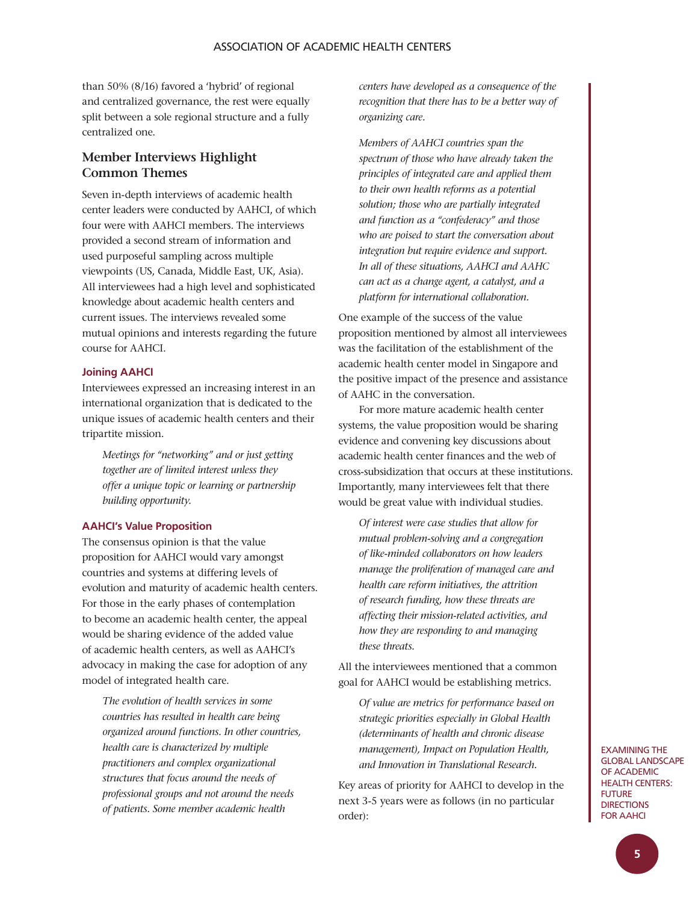than 50% (8/16) favored a 'hybrid' of regional and centralized governance, the rest were equally split between a sole regional structure and a fully centralized one.

## **Member Interviews Highlight Common Themes**

Seven in-depth interviews of academic health center leaders were conducted by AAHCI, of which four were with AAHCI members. The interviews provided a second stream of information and used purposeful sampling across multiple viewpoints (US, Canada, Middle East, UK, Asia). All interviewees had a high level and sophisticated knowledge about academic health centers and current issues. The interviews revealed some mutual opinions and interests regarding the future course for AAHCI.

#### **Joining AAHCI**

Interviewees expressed an increasing interest in an international organization that is dedicated to the unique issues of academic health centers and their tripartite mission.

*Meetings for "networking" and or just getting together are of limited interest unless they offer a unique topic or learning or partnership building opportunity.* 

### **AAHCI's Value Proposition**

The consensus opinion is that the value proposition for AAHCI would vary amongst countries and systems at differing levels of evolution and maturity of academic health centers. For those in the early phases of contemplation to become an academic health center, the appeal would be sharing evidence of the added value of academic health centers, as well as AAHCI's advocacy in making the case for adoption of any model of integrated health care.

*The evolution of health services in some countries has resulted in health care being organized around functions. In other countries, health care is characterized by multiple practitioners and complex organizational structures that focus around the needs of professional groups and not around the needs of patients. Some member academic health* 

*centers have developed as a consequence of the recognition that there has to be a better way of organizing care.*

*Members of AAHCI countries span the spectrum of those who have already taken the principles of integrated care and applied them to their own health reforms as a potential solution; those who are partially integrated and function as a "confederacy" and those who are poised to start the conversation about integration but require evidence and support. In all of these situations, AAHCI and AAHC can act as a change agent, a catalyst, and a platform for international collaboration.*

One example of the success of the value proposition mentioned by almost all interviewees was the facilitation of the establishment of the academic health center model in Singapore and the positive impact of the presence and assistance of AAHC in the conversation.

For more mature academic health center systems, the value proposition would be sharing evidence and convening key discussions about academic health center finances and the web of cross-subsidization that occurs at these institutions. Importantly, many interviewees felt that there would be great value with individual studies.

*Of interest were case studies that allow for mutual problem-solving and a congregation of like-minded collaborators on how leaders manage the proliferation of managed care and health care reform initiatives, the attrition of research funding, how these threats are affecting their mission-related activities, and how they are responding to and managing these threats.* 

All the interviewees mentioned that a common goal for AAHCI would be establishing metrics.

*Of value are metrics for performance based on strategic priorities especially in Global Health (determinants of health and chronic disease management), Impact on Population Health, and Innovation in Translational Research.*

Key areas of priority for AAHCI to develop in the next 3-5 years were as follows (in no particular order):

Examining the Global Landscape of Academic **HEALTH CENTERS: FUTURE DIRECTIONS** for AAHCI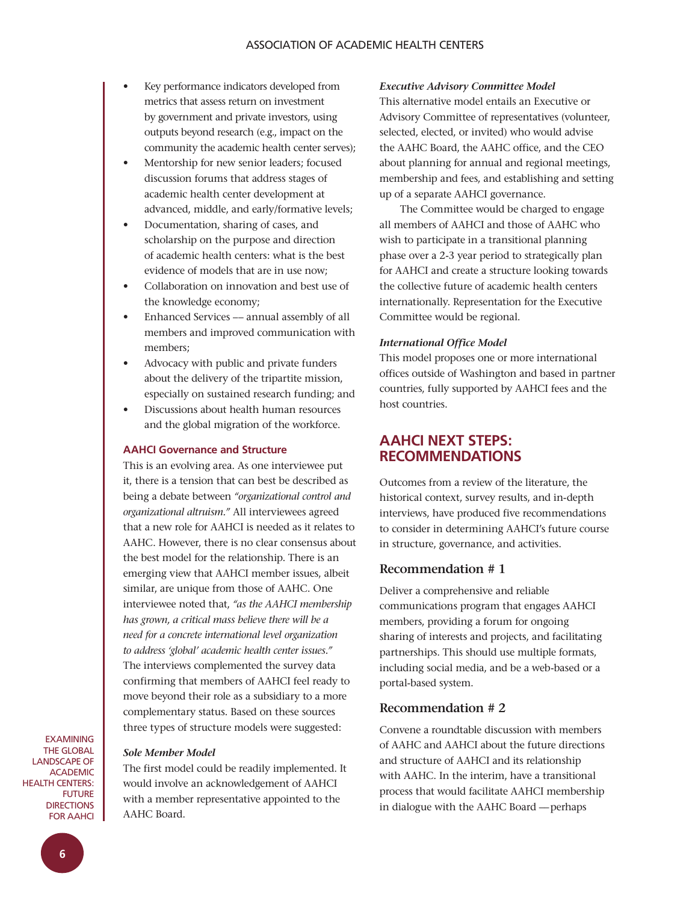- Key performance indicators developed from metrics that assess return on investment by government and private investors, using outputs beyond research (e.g., impact on the community the academic health center serves);
- Mentorship for new senior leaders; focused discussion forums that address stages of academic health center development at advanced, middle, and early/formative levels;
- Documentation, sharing of cases, and scholarship on the purpose and direction of academic health centers: what is the best evidence of models that are in use now;
- Collaboration on innovation and best use of the knowledge economy;
- Enhanced Services -- annual assembly of all members and improved communication with members;
- Advocacy with public and private funders about the delivery of the tripartite mission, especially on sustained research funding; and
- Discussions about health human resources and the global migration of the workforce.

#### **AAHCI Governance and Structure**

This is an evolving area. As one interviewee put it, there is a tension that can best be described as being a debate between *"organizational control and organizational altruism."* All interviewees agreed that a new role for AAHCI is needed as it relates to AAHC. However, there is no clear consensus about the best model for the relationship. There is an emerging view that AAHCI member issues, albeit similar, are unique from those of AAHC. One interviewee noted that, *"as the AAHCI membership has grown, a critical mass believe there will be a need for a concrete international level organization to address 'global' academic health center issues."*  The interviews complemented the survey data confirming that members of AAHCI feel ready to move beyond their role as a subsidiary to a more complementary status. Based on these sources three types of structure models were suggested:

**EXAMINING** the Global Landscape of **ACADEMIC** Health Centers: **FUTURE DIRECTIONS** for AAHCI

### *Sole Member Model*

The first model could be readily implemented. It would involve an acknowledgement of AAHCI with a member representative appointed to the AAHC Board.

#### *Executive Advisory Committee Model*

This alternative model entails an Executive or Advisory Committee of representatives (volunteer, selected, elected, or invited) who would advise the AAHC Board, the AAHC office, and the CEO about planning for annual and regional meetings, membership and fees, and establishing and setting up of a separate AAHCI governance.

The Committee would be charged to engage all members of AAHCI and those of AAHC who wish to participate in a transitional planning phase over a 2-3 year period to strategically plan for AAHCI and create a structure looking towards the collective future of academic health centers internationally. Representation for the Executive Committee would be regional.

#### *International Office Model*

This model proposes one or more international offices outside of Washington and based in partner countries, fully supported by AAHCI fees and the host countries.

## **AAHCI Next Steps: Recommendations**

Outcomes from a review of the literature, the historical context, survey results, and in-depth interviews, have produced five recommendations to consider in determining AAHCI's future course in structure, governance, and activities.

### **Recommendation # 1**

Deliver a comprehensive and reliable communications program that engages AAHCI members, providing a forum for ongoing sharing of interests and projects, and facilitating partnerships. This should use multiple formats, including social media, and be a web-based or a portal-based system.

### **Recommendation # 2**

Convene a roundtable discussion with members of AAHC and AAHCI about the future directions and structure of AAHCI and its relationship with AAHC. In the interim, have a transitional process that would facilitate AAHCI membership in dialogue with the AAHC Board –– perhaps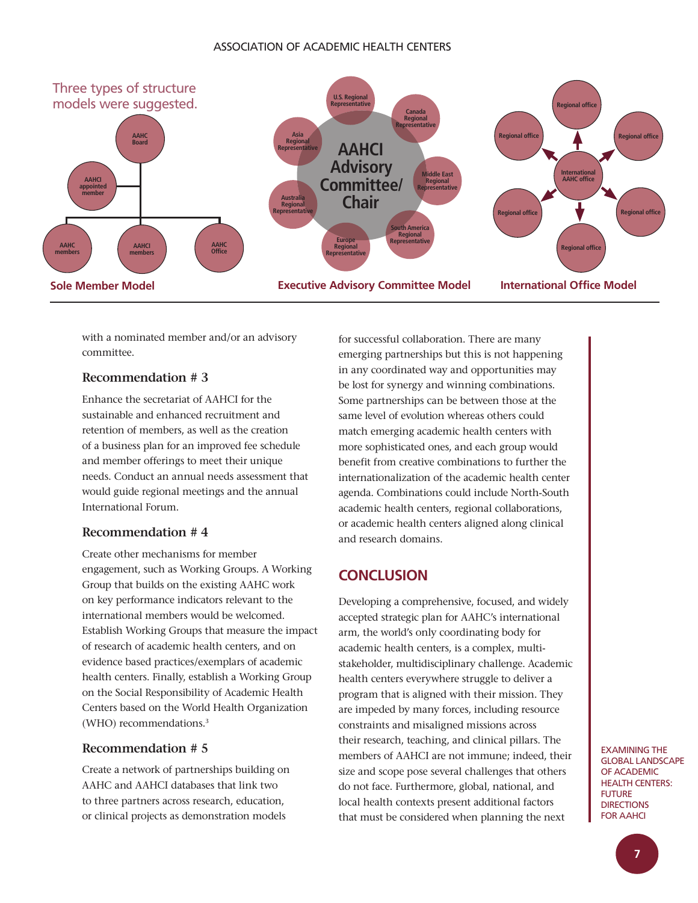### ASSOCiAtiOn Of ACADEMiC HEALtH CEntErS



with a nominated member and/or an advisory committee.

## **Recommendation # 3**

Enhance the secretariat of AAHCI for the sustainable and enhanced recruitment and retention of members, as well as the creation of a business plan for an improved fee schedule and member offerings to meet their unique needs. Conduct an annual needs assessment that would guide regional meetings and the annual International Forum.

### **Recommendation # 4**

Create other mechanisms for member engagement, such as Working Groups. A Working Group that builds on the existing AAHC work on key performance indicators relevant to the international members would be welcomed. Establish Working Groups that measure the impact of research of academic health centers, and on evidence based practices/exemplars of academic health centers. Finally, establish a Working Group on the Social Responsibility of Academic Health Centers based on the World Health Organization (WHO) recommendations.<sup>3</sup>

## **Recommendation # 5**

Create a network of partnerships building on AAHC and AAHCI databases that link two to three partners across research, education, or clinical projects as demonstration models

for successful collaboration. There are many emerging partnerships but this is not happening in any coordinated way and opportunities may be lost for synergy and winning combinations. Some partnerships can be between those at the same level of evolution whereas others could match emerging academic health centers with more sophisticated ones, and each group would benefit from creative combinations to further the internationalization of the academic health center agenda. Combinations could include North-South academic health centers, regional collaborations, or academic health centers aligned along clinical and research domains.

## **ConCLusIon**

Developing a comprehensive, focused, and widely accepted strategic plan for AAHC's international arm, the world's only coordinating body for academic health centers, is a complex, multistakeholder, multidisciplinary challenge. Academic health centers everywhere struggle to deliver a program that is aligned with their mission. They are impeded by many forces, including resource constraints and misaligned missions across their research, teaching, and clinical pillars. The members of AAHCI are not immune; indeed, their size and scope pose several challenges that others do not face. Furthermore, global, national, and local health contexts present additional factors that must be considered when planning the next

ExAMining tHE gLOBAL LAnDSCAPE Of ACADEMiC **HEALTH CENTERS: FUTURE DIRECTIONS** fOr AAHCi